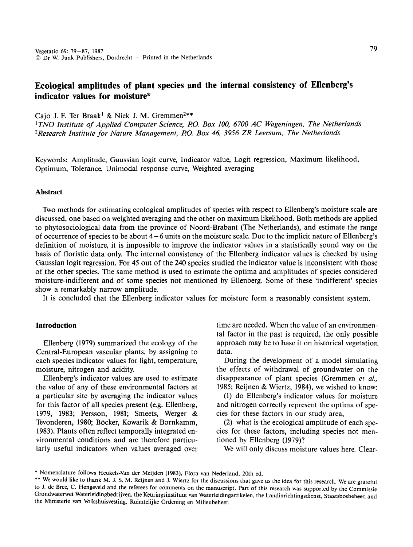# **Ecological amplitudes of plant species and the internal consistency of Ellenberg's indicator values for moisture\***

Cajo J. F. Ter Braak<sup>1</sup> & Niek J. M. Gremmen<sup>2\*\*</sup>

<sup>1</sup> TNO Institute of Applied Computer Science, P.O. Box 100, 6700 AC Wageningen, The Netherlands *2Research Institute for Nature Management, P.O. Box 46, 3956 ZR Leersum, The Netherlands* 

Keywords: Amplitude, Gaussian logit curve, Indicator value, Logit regression, Maximum likelihood, Optimum, Tolerance, Unimodal response curve, Weighted averaging

# **Abstract**

Two methods for estimating ecological amplitudes of species with respect to Ellenberg's moisture scale are discussed, one based on weighted averaging and the other on maximum likelihood. Both methods are applied to phytosociological data from the province of Noord-Brabant (The Netherlands), and estimate the range of occurrence of species to be about  $4-6$  units on the moisture scale. Due to the implicit nature of Ellenberg's definition of moisture, it is impossible to improve the indicator values in a statistically sound way on the basis of floristic data only. The internal consistency of the Ellenberg indicator values is checked by using Gaussian logit regression. For 45 out of the 240 species studied the indicator value is inconsistent with those of the other species. The same method is used to estimate the optima and amplitudes of species considered moisture-indifferent and of some species not mentioned by Ellenberg. Some of these 'indifferent' species show a remarkably narrow amplitude.

It is concluded that the Ellenberg indicator values for moisture form a reasonably consistent system.

# **Introduction**

Ellenberg (1979) summarized the ecology of the Central-European vascular plants, by assigning to each species indicator values for light, temperature, moisture, nitrogen and acidity.

Ellenberg's indicator values are used to estimate the value of any of these environmental factors at a particular site by averaging the indicator values for this factor of all species present (e.g. Ellenberg, 1979, 1983; Persson, 1981; Smeets, Werger & Tevonderen, 1980; Böcker, Kowarik & Bornkamm, 1983). Plants often reflect temporally integrated environmental conditions and are therefore particularly useful indicators when values averaged over time are needed. When the value of an environmental factor in the past is required, the only possible approach may be to base it on historical vegetation data.

During the development of a model simulating the effects of withdrawal of groundwater on the disappearance of plant species (Gremmen *et a/.,*  1985; Reijnen & Wiertz, 1984), we wished to know:

(1) do Ellenberg's indicator values for moisture and nitrogen correctly represent the optima of species for these factors in our study area,

(2) what is the ecological amplitude of each species for these factors, including species not mentioned by Ellenberg (1979)?

We will only discuss moisture values here. Clear-

<sup>\*</sup> Nomenclature follows Heuke1s-Van der Meijden (1983), Flora van Nederland, 20th ed.

<sup>\*\*</sup> We would like to thank M. J. S. M. Reijnen and J. Wiertz for the discussions that gave us the idea for this research. We are grateful to J. de Bree, C. Hengeveld and the referees for comments on the manuscript. Part of this research was supported by the Commissie Grondwaterwet Waterleidingbedrijven, the Keuringsinstituut van Waterleidingartikelen, the Landinrichtingsdienst, Staatsbosbeheer, and the Ministerie van Volkshuisvesting, Ruimtelijke Ordening en Milieubeheer.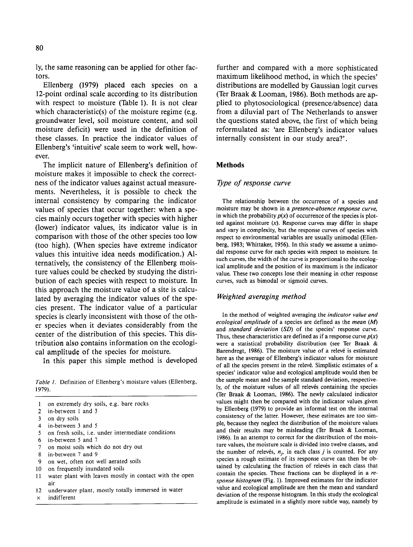ly, the same reasoning can be applied for other factors.

Ellenberg (1979) placed each species on a 12-point ordinal scale according to its distribution with respect to moisture (Table 1). It is not clear which characteristic(s) of the moisture regime (e.g. groundwater level, soil moisture content, and soil moisture deficit) were used in the definition of these classes. In practice the indicator values of Ellenberg's 'intuitive' scale seem to work well, however.

The implicit nature of Ellenberg's definition of moisture makes it impossible to check the correctness of the indicator values against actual measurements. Nevertheless, it is possible to check the internal consistency by comparing the indicator values of species that occur together: when a species mainly occurs together with species with higher (lower) indicator values, its indicator value is in comparison with those of the other species too low (too high). (When species have extreme indicator values this intuitive idea needs modification.) Alternatively, the consistency of the Ellenberg moisture values could be checked by studying the distribution of each species with respect to moisture. In this approach the moisture value of a site is calculated by averaging the indicator values of the species present. The indicator value of a particular species is clearly inconsistent with those of the other species when it deviates considerably from the center of the distribution of this species. This distribution also contains information on the ecological amplitude of the species for moisture.

In this paper this simple method is developed

*Table 1.* Definition of Ellenberg's moisture values (Ellenberg, 1979).

- I on extremely dry soils, e.g. bare rocks
- 2 in-between I and 3
- 3 on dry soils<br>4 in-between 3
- 4 in-between 3 and 5<br>5 on fresh soils, i.e.
- 5 on fresh soils, i.e. under intermediate conditions
- 6 in-between 5 and 7
- 7 on moist soils which do not dry out
- 8 in-between 7 and 9
- 9 on wet, often not well aerated soils
- 10 on frequently inundated soils
- II water plant with leaves mostly in contact with the open air
- 12 underwater plant, mostly totally immersed in water
- $\times$  indifferent

further and compared with a more sophisticated maximum likelihood method, in which the species' distributions are modelled by Gaussian logit curves (Ter Braak & Looman, 1986). Both methods are applied to phytosociological (presence/absence) data from a diluvial part of The Netherlands to answer the questions stated above, the first of which being reformulated as: 'are Ellenberg's indicator values internally consistent in our study area?'.

### **Methods**

### *Type of response curve*

The relationship between the occurrence of a species and moisture may be shown in a *presence-absence response curve,*  in which the probability  $p(x)$  of occurrence of the species is plotted against moisture  $(x)$ . Response curves may differ in shape and vary in complexity, but the response curves of species with respect to environmental variables are usually unimodal (Ellenberg, 1983; Whittaker, 1956). In this study we assume a unimodal response curve for each species with respect to moisture. In such curves, the width of the curve is proportional to the ecological amplitude and the position of its maximum is the indicator value. These two concepts lose their meaning in other response curves, such as bimodal or sigmoid curves.

### *Weighted averaging method*

In the method of weighted averaging the *indicator value and ecological amplitude* of a species are defined as the *mean* (M) and *standard deviation* (SD) of the species' response curve. Thus, these characteristics are defined as if a response curve  $p(x)$ were a statistical probability distribution (see Ter Braak & Barendregt, 1986). The moisture value of a relevé is estimated here as the average of Ellenberg's indicator values for moisture of all the species present in the releve. Simplistic estimates of a species' indicator value and ecological amplitude would then be the sample mean and the sample standard deviation, respectively, of the moisture values of all relevés containing the species (Ter Braak & Looman, 1986). The newly calculated indicator values might then be compared with the indicator values given by Ellenberg (1979) to provide an informal test on the internal consistency of the latter. However, these estimates are too simple, because they neglect the distribution of the moisture values and their results may be misleading (Ter Braak & Looman, 1986). In an attempt to correct for the distribution of the moisture values, the moisture scale is divided into twelve classes, and the number of relevés,  $n_i$ , in each class *j* is counted. For any species a rough estimate of its response curve can then be obtained by calculating the fraction of relevés in each class that contain the species. These fractions can be displayed in a *response histogram* (Fig. 1). Improved estimates for the indicator value and ecological amplitude are then the mean and standard deviation of the response histogram. In this study the ecological amplitude is estimated in a slightly more subtle way, namely by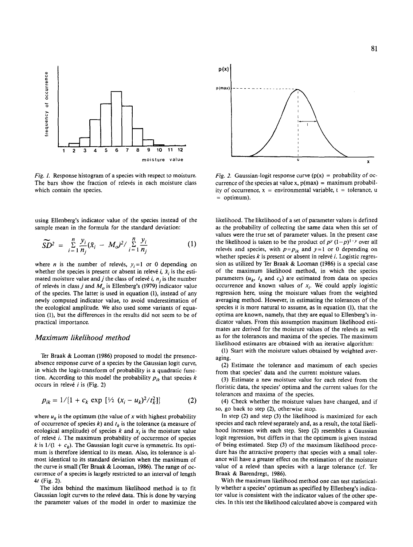

Fig. I. Response histogram of a species with respect to moisture. The bars show the fraction of relevés in each moisture class which contain the species.

using Ellenberg's indicator value of the species instead of the sample mean in the formula for the standard deviation:

$$
\widetilde{SD}^2 = \frac{n}{i} \sum_{i=1}^{n} \frac{y_i}{n_j} (\tilde{x}_i - M_o)^2 / \sum_{i=1}^{n} \frac{y_i}{n_j}
$$
 (1)

where *n* is the number of releves,  $y_i = 1$  or 0 depending on whether the species is present or absent in releve *i*,  $\tilde{x}_i$  is the estimated moisture value and j the class of relevé i,  $n_i$  is the number of relevés in class *j* and  $M<sub>o</sub>$  is Ellenberg's (1979) indicator value of the species. The latter is used in equation (1), instead of any newly computed indicator value, to avoid underestimation of the ecological amplitude. We also used some variants of equation (1), but the differences in the results did not seem to be of practical importance.

#### *Maximum likelihood method*

Ter Braak & Looman (1986) proposed to model the presenceabsence response curve of a species by the Gaussian logit curve, in which the legit-transform of probability is a quadratic function. According to this model the probability  $p_{ik}$  that species  $k$ occurs in relevé  $i$  is (Fig. 2)

$$
p_{ik} = 1/[1 + c_k \exp [\frac{1}{2} (x_i - u_k)^2 / t_k^2]] \qquad (2)
$$

where  $u_k$  is the optimum (the value of x with highest probability of occurrence of species  $k$ ) and  $t_k$  is the tolerance (a measure of ecological amplitude) of species  $k$  and  $x_i$  is the moisture value of relevé *i*. The maximum probability of occurrence of species *k* is  $1/(1 + c_k)$ . The Gaussian logit curve is symmetric. Its optimum is therefore identical to its mean. Also, its tolerance is almost identical to its standard deviation when the maximum of the curve is small (Ter Braak & Looman, 1986). The range of occurrence of a species is largely restricted to an interval of length *4t* (Fig. 2).

The idea behind the maximum likelihood method is to fit Gaussian logit curves to the releve data. This is done by varying the parameter values of the model in order to maximize the



*Fig. 2.* Gaussian-logit response curve  $(p(x) =$  probability of occurrence of the species at value x,  $p(max) =$  maximum probability of occurrence,  $x =$  environmental variable,  $t =$  tolerance, u = optimum).

likelihood. The likelihood of a set of parameter values is defined as the probability of collecting the same data when this set of values were the true set of parameter values. In the present case the likelihood is taken to be the product of  $p^y (1-p)^{1-y}$  over all relevés and species, with  $p=p_{ik}$  and  $y=1$  or 0 depending on whether species  $k$  is present or absent in relevé  $i$ . Logistic regression as utilized by Ter Braak & Looman (1986) is a special case of the maximum likelihood method, in which the species parameters  $(u_k, t_k$  and  $c_k$ ) are estimated from data on species occurrence and known values of  $x_i$ . We could apply logistic regression here, using the moisture values from the weighted averaging method. However, in estimating the tolerances of the species it is more natural to assume, as in equation (1), that the optima are known, namely, that they are equal to Ellenberg's indicator values. From this assumption maximum likelihood estimates are derived for the moisture values of the relevés as well as for the tolerances and maxima of the species. The maximum likelihood estimates are obtained with an iterative algorithm:

(1) Start with the moisture values obtained by weighted averaging.

(2) Estimate the tolerance and maximum of each species from that species' data and the current moisture values.

(3) Estimate a new moisture value for each relevé from the floristic data, the species' optima and the current values for the tolerances and maxima of the species.

(4) Check whether the moisture values have changed, and if so, go back to step (2), otherwise stop.

In step (2) and step (3) the likelihood is maximized for each species and each relevé separately and, as a result, the total likelihood increases with each step. Step (2) resembles a Gaussian logit regression, but differs in that the optimum is given instead of being estimated. Step (3) of the maximum likelihood procedure has the attractive property that species with a small tolerance will have a greater effect on the estimation of the moisture value of a relevé than species with a large tolerance (cf. Ter Braak & Barendregt, 1986).

With the maximum likelihood method one can test statistically whether a species' optimum as specified by Ellenberg's indicator value is consistent with the indicator values of the other species. In this test the likelihood calculated above is compared with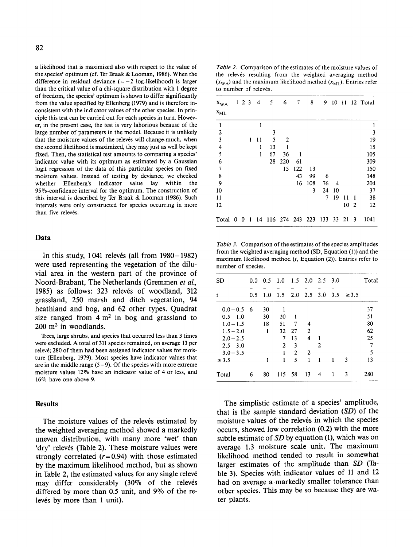a likelihood that is maximized also with respect to the value of the species' optimum (cf. Ter Braak & Looman, 1986). When the difference in residual deviance  $(=-2 \log-1)$ ikelihood) is larger than the critical value of a chi-square distribution with I degree of freedom, the species' optimum is shown to differ significantly from the value specified by Ellenberg (1979) and is therefore inconsistent with the indicator values of the other species. In principle this test can be carried out for each species in turn. However, in the present case, the test is very laborious because of the large number of parameters in the model. Because it is unlikely that the moisture values of the relevés will change much, when the second likelihood is maximized, they may just as well be kept fixed. Then, the statistical test amounts to comparing a species' indicator value with its optimum as estimated by a Gaussian logit regression of the data of this particular species on fixed moisture values. Instead of testing by deviance, we checked whether Ellenberg's indicator value lay within the 95%-confidence interval for the optimum. The construction of this interval is described by Ter Braak & Looman (1986). Such intervals were only constructed for species occurring in more than five relevés.

### **Data**

In this study,  $1041$  relevés (all from  $1980 - 1982$ ) were used representing the vegetation of the diluvial area in the western part of the province of Noord-Brabant, The Netherlands (Gremmen *eta/.,*  1985) as follows: 323 relevés of woodland, 312 grassland, 250 marsh and ditch vegetation, 94 heathland and bog, and 62 other types. Quadrat size ranged from  $4 \text{ m}^2$  in bog and grassland to  $200 \text{ m}^2$  in woodlands.

Trees, large shrubs, and species that occurred less than 3 times were excluded. A total of 311 species remained, on average 13 per relevé; 280 of them had been assigned indicator values for moisture (Ellenberg, 1979). Most species have indicator values that are in the middle range  $(5-9)$ . Of the species with more extreme moisture values 12% have an indicator value of 4 or less, and 16% have one above 9.

# **Results**

The moisture values of the releves estimated by the weighted averaging method showed a markedly uneven distribution, with many more 'wet' than 'dry' relevés (Table 2). These moisture values were strongly correlated *(r=0.94)* with those estimated by the maximum likelihood method, but as shown in Table 2, the estimated values for any single releve may differ considerably (30% of the releves differed by more than 0.5 unit, and 9% of the relevés by more than 1 unit).

*Table 2.* Comparison of the estimates of the moisture values of the relevés resulting from the weighted averaging method  $(x_{WA})$  and the maximum likelihood method  $(x_{MI})$ . Entries refer to number of relevés.

| $x_{WA}$      | $1 \t2 \t3$ |    | 4  | 5  | 6   | 7   | 8                         | 9  | 10 |    |                | 11 12 Total |
|---------------|-------------|----|----|----|-----|-----|---------------------------|----|----|----|----------------|-------------|
| $x_{ML}$      |             |    |    |    |     |     |                           |    |    |    |                |             |
| $\mathbf{I}$  |             |    | 1  |    |     |     |                           |    |    |    |                |             |
|               |             |    |    | 3  |     |     |                           |    |    |    |                | 3           |
| $\frac{2}{3}$ |             | 1  | 11 | 5  | 2   |     |                           |    |    |    |                | 19          |
| $\frac{4}{5}$ |             |    | 1  | 13 |     |     |                           |    |    |    |                | 15          |
|               |             |    | 1  | 67 | 36  |     |                           |    |    |    |                | 105         |
| 6             |             |    |    | 28 | 220 | 61  |                           |    |    |    |                | 309         |
| 7             |             |    |    |    | 15  | 122 | 13                        |    |    |    |                | 150         |
| $\frac{8}{9}$ |             |    |    |    |     | 43  | 99                        | 6  |    |    |                | 148         |
|               |             |    |    |    |     | 16  | 108                       | 76 | 4  |    |                | 204         |
| 10            |             |    |    |    |     |     | 3                         | 24 | 10 |    |                | 37          |
| 11            |             |    |    |    |     |     |                           | 7  | 19 | 11 | 1              | 38          |
| 12            |             |    |    |    |     |     |                           |    |    | 10 | $\overline{2}$ | 12          |
| Total 0 0     |             | -1 | 14 |    |     |     | 116 274 243 223 133 33 21 |    |    |    | 3              | 1041        |

*Table 3.* Comparison of the estimates of the species amplitudes from the weighted averaging method (SD, Equation (I)) and the maximum likelihood method  $(t, Equation (2))$ . Entries refer to number of species.

| <b>SD</b>       | $0.0^-$ | 0.5 | 1.0            |      | $1.5$ 2.0 2.5 3.0 |             |     |            | Total |
|-----------------|---------|-----|----------------|------|-------------------|-------------|-----|------------|-------|
| t               | 0.5     | 1.0 | 1.5            | 2.0  |                   | $2.5 \t3.0$ | 3.5 | $\geq 3.5$ |       |
| $0.0 - 0.5 = 6$ |         | 30  |                |      |                   |             |     |            | 37    |
| $0.5 - 1.0$     |         | 30  | 20             | 1    |                   |             |     |            | 51    |
| $1.0 - 1.5$     |         | 18  | 51             | 7    | 4                 |             |     |            | 80    |
| $1.5 - 2.0$     |         | 1   | 32             | 27   | 2                 |             |     |            | 62    |
| $2.0 - 2.5$     |         |     | 7              | 13   | 4                 | 1           |     |            | 25    |
| $2.5 - 3.0$     |         |     | $\overline{2}$ | 3    |                   | 2           |     |            | 7     |
| $3.0 - 3.5$     |         |     | ŧ              | 2    | 2                 |             |     |            | 5     |
| $\geq$ 3.5      |         | 1   | 1              | 5    | 1                 | 1           | 1   | 3          | 13    |
| Total           | 6       | 80  | 115            | - 58 | 13                | 4           | -1  | 3          | 280   |

The simplistic estimate of a species' amplitude, that is the sample standard deviation *(SD)* of the moisture values of the relevés in which the species occurs, showed low correlation (0.2) with the more subtle estimate of *SD* by equation (1), which was on average 1.3 moisture scale unit. The maximum likelihood method tended to result in somewhat larger estimates of the amplitude than *SD* (Table 3). Species with indicator values of 11 and 12 had on average a markedly smaller tolerance than otber species. This may be so because they are water plants.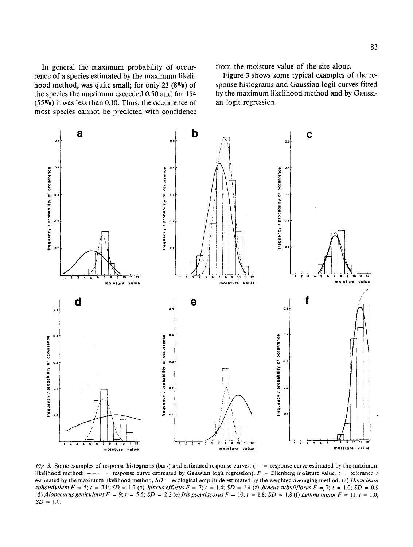In general the maximum probability of occurrence of a species estimated by the maximum likelihood method, was quite small; for only 23  $(8\%)$  of the species the maximum exceeded 0.50 and for 154 (55%) it was less than 0.10. Thus, the occurrence of most species cannot be predicted with confidence from the moisture value of the site alone.

Figure 3 shows some typical examples of the response histograms and Gaussian logit curves fitted by the maximum likelihood method and by Gaussian logit regression.



*Fig. 3.* Some examples of response histograms (bars) and estimated response curves.  $(-$  = response curve estimated by the maximum likelihood method;  $---$  = response curve estimated by Gaussian logit regression).  $F =$  Ellenberg moisture value,  $t =$  tolerance / estimated by the maximum likelihood method, *SD* = ecological amplitude estimated by the weighted averaging method. (a) *Heracleum sphondy/ium F* = 5; *t* = 2.1; *SD* = 1.7 (b) *Juncus effusus F* = 7; *t* = 1.4; *SD* = 1.4 (c) *]uncus subuliflorus F* =. 7; I = 1.0; *SD* = 0.9 (d) *Alopecurus geniculatus F* = 9;  $t = 5.5$ ;  $SD = 2.2$  (e) *Iris pseudacorus F* = 10;  $t = 1.8$ ;  $SD = 1.8$  (f) *Lemna minor F* = 11;  $t = 1.0$ ;  $SD = 1.0$ .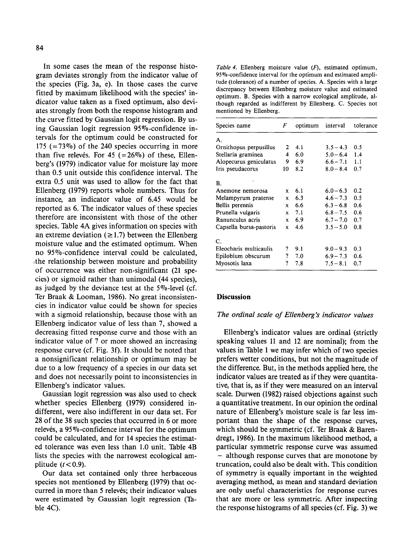In some cases the mean of the response histogram deviates strongly from the indicator value of the species (Fig. 3a, e). In those cases the curve fitted by maximum likelihood with the species' indicator value taken as a fixed optimum, also deviates strongly from both the response histogram and the curve fitted by Gaussian logit regression. By using Gaussian logit regression  $95\%$ -confidence intervals for the optimum could be constructed for 175 ( $=73\%$ ) of the 240 species occurring in more than five releves. For 45  $(=26\%)$  of these, Ellenberg's (1979) indicator value for moisture lay more than 0.5 unit outside this confidence interval. The extra 0.5 unit was used to allow for the fact that Ellenberg (1979) reports whole numbers. Thus for instance, an indicator value of 6.45 would be reported as 6. The indicator values of these species therefore are inconsistent with those of the other species. Table 4A gives information on species with an extreme deviation ( $\geq$ 1.7) between the Ellenberg moisture value and the estimated optimum. When no 95%-confidence interval could be calculated, the relationship between moisture and probability of occurrence was either non-significant (21 species) or sigmoid rather than unimodal (44 species), as judged by the deviance test at the  $5\%$ -level (cf. Ter Braak & Looman, 1986). No great inconsistencies in indicator value could be shown for species with a sigmoid relationship, because those with an Ellenberg indicator value of less than 7, showed a decreasing fitted response curve and those with an indicator value of 7 or more showed an increasing response curve (cf. Fig. 3f). It should be noted that a nonsignificant relationship or optimum may be due to a low frequency of a species in our data set and does not necessarily point to inconsistencies in Ellenberg's indicator values.

Gaussian logit regression was also used to check whether species Ellenberg (1979) considered indifferent, were also indifferent in our data set. For 28 of the 38 such species that occurred in 6 or more relevés, a  $95\%$ -confidence interval for the optimum could be calculated, and for 14 species the estimated tolerance was even less than 1.0 unit. Table 4B lists the species with the narrowest ecological amplitude  $(t < 0.9)$ .

Our data set contained only three herbaceous species not mentioned by Ellenberg (1979) that occurred in more than 5 relevés; their indicator values were estimated by Gaussian logit regression {Table 4C).

*Table 4.* Ellenberg moisture value  $(F)$ , estimated optimum, 95%-confidence interval for the optimum and estimated amplitude (tolerance) of a number of species. A. Species with a large discrepancy between Ellenberg moisture value and estimated optimum. B. Species with a narrow ecological amplitude, although regarded as indifferent by Ellenberg. C. Species not mentioned by Ellenberg.

| Species name            | F            | optimum | interval    | tolerance |
|-------------------------|--------------|---------|-------------|-----------|
| А.                      |              |         |             |           |
| Ornithopus perpusillus  | 2            | 4.1     | $3.5 - 4.3$ | 0.5       |
| Stellaria graminea      | 4            | 6.0     | $5.0 - 6.4$ | 1.4       |
| Alopecurus geniculatus  | 9            | 6.9     | $6.6 - 7.1$ | 1.1       |
| Iris pseudacorus        | 10           | 8.2     | $8.0 - 8.4$ | 0.7       |
| <b>B.</b>               |              |         |             |           |
| Anemone nemorosa        | x            | 6.1     | $6.0 - 6.3$ | 0.2       |
| Melampyrum pratense     | X            | 6.3     | $4.6 - 7.3$ | 0.5       |
| Bellis perennis         | X            | 6.6     | $6.3 - 6.8$ | 0.6       |
| Prunella vulgaris       | x            | 7.1     | $6.8 - 7.5$ | 0.6       |
| Ranunculus acris        | $\mathbf{x}$ | 6.9     | $6.7 - 7.0$ | 0.7       |
| Capsella bursa-pastoris | x            | 4.6     | $3.5 - 5.0$ | 0.8       |
| $\mathbf{C}$ .          |              |         |             |           |
| Eleocharis multicaulis  | ?            | 9.1     | $9.0 - 9.3$ | 0.3       |
| Epilobium obscurum      | ?            | 7.0     | $6.9 - 7.3$ | 0.6       |
| Myosotis laxa           | ?            | 7.8     | $7.5 - 8.1$ | 0.7       |

# **Discussion**

### *The ordinal scale of Ellenberg's indicator values*

Ellenberg's indicator values are ordinal (strictly speaking values 11 and 12 are nominal); from the values in Table 1 we may infer which of two species prefers wetter conditions, but not the magnitude of the difference. But, in the methods applied here, the indicator values are treated as if they were quantitative, that is, as if they were measured on an interval scale. Durwen (1982) raised objections against such a quantitative treatment. In our opinion the ordinal nature of Ellenberg's moisture scale is far less important than the shape of the response curves, which should be symmetric (cf. Ter Braak & Barendregt, 1986). In the maximum likelihood method, a particular symmetric response curve was assumed - although response curves that are monotone by truncation, could also be dealt with. This condition of symmetry is equally important in the weighted averaging method, as mean and standard deviation are only useful characteristics for response curves that are more or less symmetric. After inspecting the response histograms of all species (cf. Fig. 3) we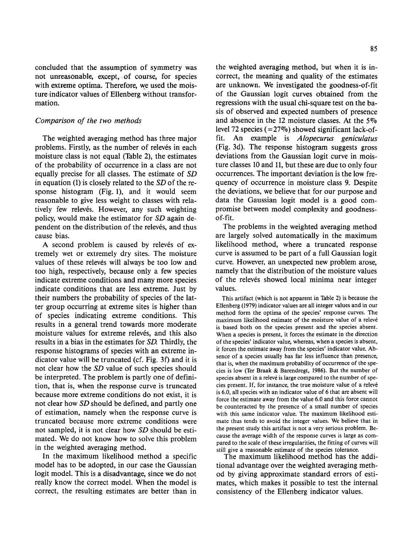concluded that the assumption of symmetry was not unreasonable, except, of course, for species with extreme optima. Therefore, we used the moisture indicator values of Ellenberg without transformation.

### *Comparison of the two methods*

The weighted averaging method has three major problems. Firstly, as the number of relevés in each moisture class is not equal (Table 2), the estimates of the probability of occurrence in a class are not equally precise for all classes. The estimate of *SD*  in equation (1) is closely related to the *SD* of the response histogram (Fig. 1), and it would seem reasonable to give less weight to classes with relatively few relevés. However, any such weighting policy, would make the estimator for *SD* again dependent on the distribution of the relevés, and thus cause bias.

A second problem is caused by releves of extremely wet or extremely dry sites. The moisture values of these relevés will always be too low and too high, respectively, because only a few species indicate extreme conditions and many more species indicate conditions that are less extreme. Just by their numbers the probability of species of the latter group occurring at extreme sites is higher than of species indicating extreme conditions. This results in a general trend towards more moderate moisture values for extreme relevés, and this also results in a bias in the estimates for *SD.* Thirdly, the response histograms of species with an extreme indicator value will be truncated (cf. Fig. 3f) and it is not clear how the *SD* value of such species should be interpreted. The problem is partly one of definition, that is, when the response curve is truncated because more extreme conditions do not exist, it is not clear how *SD* should be defined, and partly one of estimation, namely when the response curve is truncated because more extreme conditions were not sampled, it is not clear how *SD* should be estimated. We do not know how to solve this problem in the weighted averaging method.

In the maximum likelihood method a specific model has to be adopted, in our case the Gaussian logit model. This is a disadvantage, since we do not really know the correct model. When the model is correct, the resulting estimates are better than in

the weighted averaging method, but when it is incorrect, the meaning and quality of the estimates are unknown. We investigated the goodness-of-fit of the Gaussian logit curves obtained from the regressions with the usual chi-square test on the basis of observed and expected numbers of presence and absence in the 12 moisture classes. At the  $5\%$ level 72 species ( $= 27\%$ ) showed significant lack-offit. An example is *Alopecurus geniculatus*  (Fig. 3d). The response histogram suggests gross deviations from the Gaussian logit curve in moisture classes 10 and 11, but these are due to only four occurrences. The important deviation is the low frequency of occurrence in moisture class 9. Despite the deviations, we believe that for our purpose and data the Gaussian logit model is a good compromise between model complexity and goodnessof-fit.

The problems in the weighted averaging method are largely solved automatically in the maximum likelihood method, where a truncated response curve is assumed to be part of a full Gaussian logit curve. However, an unexpected new problem arose, namely that the distribution of the moisture values of the relevés showed local minima near integer values.

This artifact (which is not apparent in Table 2) is because the Ellenberg (1979) indicator values are all integer values and in our method form the optima of the species' response curves. The maximum likelihood estimate of the moisture value of a releve is based both on the species present and the species absent. When a species is present, it forces the estimate in the direction of the species' indicator value, whereas, when a species is absent, it forces the estimate away from the species' indicator value. Absence of a species usually has far less influence than presence, that is, when the maximum probability of occurrence of the species is low (Ter Braak & Barendregt, 1986). But the number of species absent in a relevé is large compared to the number of species present. If, for instance, the true moisture value of a releve is 6.0, all species with an indicator value of 6 that are absent will force the estimate away from the value 6.0 and this force cannot be counteracted by the presence of a small number of species with this same indicator value. The maximum likelihood estimate thus tends to avoid the integer values. We believe that in the present study this artifact is not a very serious problem. Because the average width of the response curves is large as compared to the scale of these irregularities, the fitting of curves will still give a reasonable estimate of the species tolerance.

The maximum likelihood method has the additional advantage over the weighted averaging method by giving approximate standard errors of estimates, which makes it possible to test the internal consistency of the Ellenberg indicator values.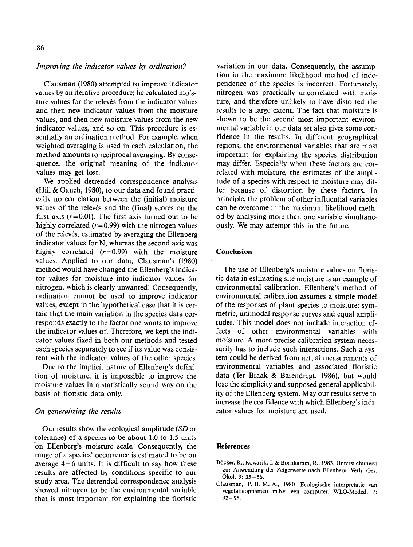### *Improving the indicator values by ordination?*

Clausman (1980) attempted to improve indicator values by an iterative procedure; he calculated moisture values for the relevés from the indicator values and then new indicator values from the moisture values, and then new moisture values from the new indicator values, and so on. This procedure is essentially an ordination method. For example, when weighted averaging is used in each calculation, the method amounts to reciprocal averaging. By consequence, the original meaning of the indicator values may get lost.

We applied detrended correspondence analysis (Hill & Gauch, 1980), to our data and found practically no correlation between the (initial) moisture values of the releves and the (final) scores on the first axis ( $r=0.01$ ). The first axis turned out to be highly correlated  $(r=0.99)$  with the nitrogen values of the relevés, estimated by averaging the Ellenberg indicator values for N, whereas the second axis was highly correlated  $(r=0.99)$  with the moisture values. Applied to our data, Clausman's (1980) method would have changed the Ellenberg's indicator values for moisture into indicator values for nitrogen, which is clearly unwanted! Consequently, ordination cannot be used to improve indicator values, except in the hypothetical case that it is certain that the main variation in the species data corresponds exactly to the factor one wants to improve the indicator values of. Therefore, we kept the indicator values fixed in both our methods and tested each species separately to see if its value was consistent with the indicator values of the other species.

Due to the implicit nature of Ellenberg's definition of moisture, it is impossible to improve the moisture values in a statistically sound way on the basis of floristic data only.

# *On generalizing the results*

Our results show the ecological amplitude *(SD* or tolerance) of a species to be about 1.0 to 1.5 units on Ellenberg's moisture scale. Consequently, the range of a species' occurrence is estimated to be on average  $4-6$  units. It is difficult to say how these results are affected by conditions specific to our study area. The detrended correspondence analysis showed nitrogen to be the environmental variable that is most important for explaining the floristic variation in our data. Consequently, the assumption in the maximum likelihood method of independence of the species is incorrect. Fortunately, nitrogen was practically uncorrelated with moisture, and therefore unlikely to have distorted the results to a large extent. The fact that moisture is shown to be the second most important environmental variable in our data set also gives some confidence in the results. In different geographical regions, the environmental variables that are most important for explaining the species distribution may differ. Especially when these factors are correlated with moisture, the estimates of the amplitude of a species with respect to moisture may differ because of distortion by these factors. In principle, the problem of other influential variables can be overcome in the maximum likelihood method by analysing more than one variable simultaneously. We may attempt this in the future.

# **Conclusion**

The use of Ellenberg's moisture values on floristic data in estimating site moisture is an example of environmental calibration. Ellenberg's method of environmental calibration assumes a simple model of the responses of plant species to moisture: symmetric, unimodal response curves and equal amplitudes. This model does not include interaction effects of other environmental variables with moisture. A more precise calibration system necessarily has to include such interactions. Such a system could be derived from actual measurements of environmental variables and associated floristic data (Ter Braak & Barendregt, 1986), but would lose the simplicity and supposed general applicability of the Ellenberg system. May our results serve to increase the confidence with which Ellenberg's indicator values for moisture are used.

### **References**

- Boeker, R., Kowarik, I. & Bornkamm, R., 1983. Untersuchungen zur Anwendung der Zeigerwerte nach Ellenberg. Verh. Ges. Okol. 9: 35-56.
- Clausman, P. H. M. A., 1980. Ecologische interpretatie van vegetatieopnamen m.b.v. een computer. WLO-Meded. 7: 92-98.